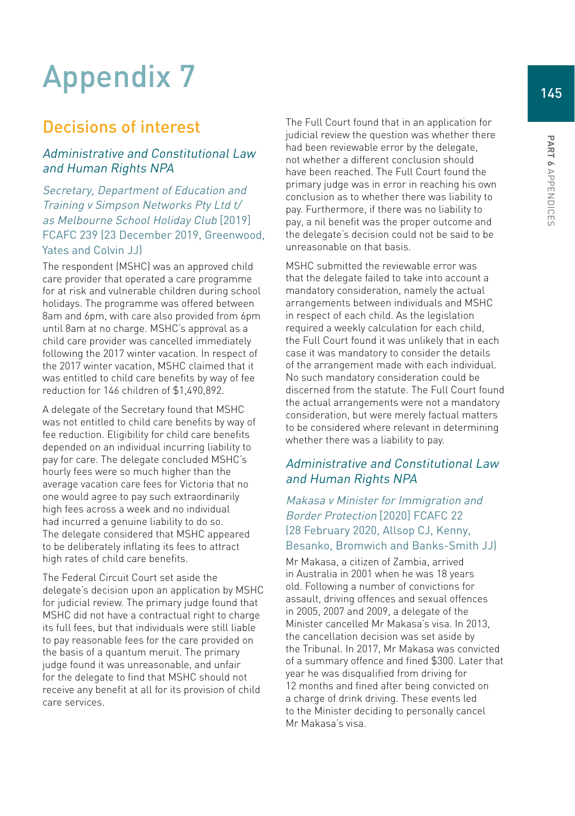# Appendix 7

# Decisions of interest

# Administrative and Constitutional Law and Human Rights NPA

Secretary, Department of Education and Training v Simpson Networks Pty Ltd t/ as Melbourne School Holiday Club [2019] FCAFC 239 (23 December 2019, Greenwood, Yates and Colvin JJ)

The respondent (MSHC) was an approved child care provider that operated a care programme for at risk and vulnerable children during school holidays. The programme was offered between 8am and 6pm, with care also provided from 6pm until 8am at no charge. MSHC's approval as a child care provider was cancelled immediately following the 2017 winter vacation. In respect of the 2017 winter vacation, MSHC claimed that it was entitled to child care benefits by way of fee reduction for 146 children of \$1,490,892.

A delegate of the Secretary found that MSHC was not entitled to child care benefits by way of fee reduction. Eligibility for child care benefits depended on an individual incurring liability to pay for care. The delegate concluded MSHC's hourly fees were so much higher than the average vacation care fees for Victoria that no one would agree to pay such extraordinarily high fees across a week and no individual had incurred a genuine liability to do so. The delegate considered that MSHC appeared to be deliberately inflating its fees to attract high rates of child care benefits.

The Federal Circuit Court set aside the delegate's decision upon an application by MSHC for judicial review. The primary judge found that MSHC did not have a contractual right to charge its full fees, but that individuals were still liable to pay reasonable fees for the care provided on the basis of a quantum meruit. The primary judge found it was unreasonable, and unfair for the delegate to find that MSHC should not receive any benefit at all for its provision of child care services.

The Full Court found that in an application for judicial review the question was whether there had been reviewable error by the delegate, not whether a different conclusion should have been reached. The Full Court found the primary judge was in error in reaching his own conclusion as to whether there was liability to pay. Furthermore, if there was no liability to pay, a nil benefit was the proper outcome and the delegate's decision could not be said to be unreasonable on that basis.

MSHC submitted the reviewable error was that the delegate failed to take into account a mandatory consideration, namely the actual arrangements between individuals and MSHC in respect of each child. As the legislation required a weekly calculation for each child, the Full Court found it was unlikely that in each case it was mandatory to consider the details of the arrangement made with each individual. No such mandatory consideration could be discerned from the statute. The Full Court found the actual arrangements were not a mandatory consideration, but were merely factual matters to be considered where relevant in determining whether there was a liability to pay.

#### Administrative and Constitutional Law and Human Rights NPA

Makasa v Minister for Immigration and Border Protection [2020] FCAFC 22 (28 February 2020, Allsop CJ, Kenny, Besanko, Bromwich and Banks-Smith JJ)

Mr Makasa, a citizen of Zambia, arrived in Australia in 2001 when he was 18 years old. Following a number of convictions for assault, driving offences and sexual offences in 2005, 2007 and 2009, a delegate of the Minister cancelled Mr Makasa's visa. In 2013, the cancellation decision was set aside by the Tribunal. In 2017, Mr Makasa was convicted of a summary offence and fined \$300. Later that year he was disqualified from driving for 12 months and fined after being convicted on a charge of drink driving. These events led to the Minister deciding to personally cancel Mr Makasa's visa.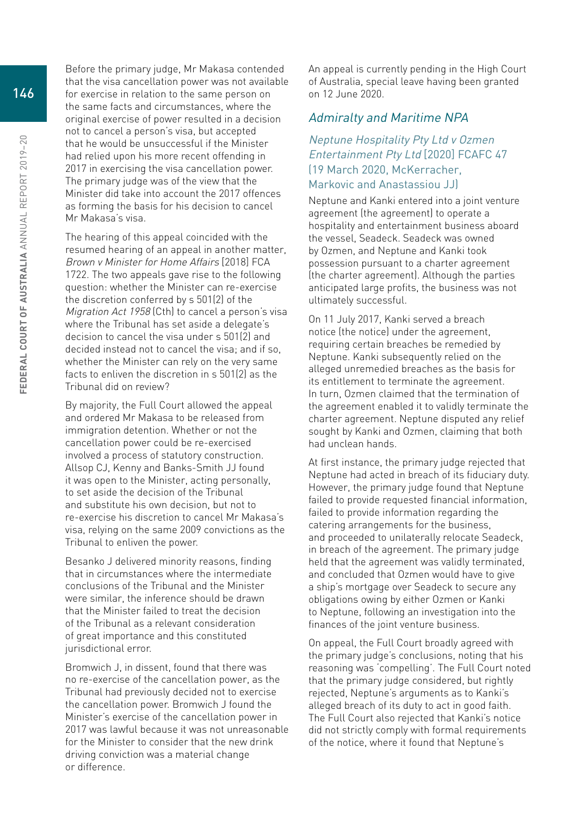Before the primary judge, Mr Makasa contended that the visa cancellation power was not available for exercise in relation to the same person on the same facts and circumstances, where the original exercise of power resulted in a decision not to cancel a person's visa, but accepted that he would be unsuccessful if the Minister had relied upon his more recent offending in 2017 in exercising the visa cancellation power. The primary judge was of the view that the Minister did take into account the 2017 offences as forming the basis for his decision to cancel Mr Makasa's visa.

The hearing of this appeal coincided with the resumed hearing of an appeal in another matter, Brown v Minister for Home Affairs [2018] FCA 1722. The two appeals gave rise to the following question: whether the Minister can re-exercise the discretion conferred by s 501(2) of the Migration Act 1958 (Cth) to cancel a person's visa where the Tribunal has set aside a delegate's decision to cancel the visa under s 501(2) and decided instead not to cancel the visa; and if so, whether the Minister can rely on the very same facts to enliven the discretion in s 501(2) as the Tribunal did on review?

By majority, the Full Court allowed the appeal and ordered Mr Makasa to be released from immigration detention. Whether or not the cancellation power could be re-exercised involved a process of statutory construction. Allsop CJ, Kenny and Banks-Smith JJ found it was open to the Minister, acting personally, to set aside the decision of the Tribunal and substitute his own decision, but not to re-exercise his discretion to cancel Mr Makasa's visa, relying on the same 2009 convictions as the Tribunal to enliven the power.

Besanko J delivered minority reasons, finding that in circumstances where the intermediate conclusions of the Tribunal and the Minister were similar, the inference should be drawn that the Minister failed to treat the decision of the Tribunal as a relevant consideration of great importance and this constituted jurisdictional error.

Bromwich J, in dissent, found that there was no re-exercise of the cancellation power, as the Tribunal had previously decided not to exercise the cancellation power. Bromwich J found the Minister's exercise of the cancellation power in 2017 was lawful because it was not unreasonable for the Minister to consider that the new drink driving conviction was a material change or difference.

An appeal is currently pending in the High Court of Australia, special leave having been granted on 12 June 2020.

#### Admiralty and Maritime NPA

# Neptune Hospitality Pty Ltd v Ozmen Entertainment Pty Ltd [2020] FCAFC 47 (19 March 2020, McKerracher,

#### Markovic and Anastassiou JJ)

Neptune and Kanki entered into a joint venture agreement (the agreement) to operate a hospitality and entertainment business aboard the vessel, Seadeck. Seadeck was owned by Ozmen, and Neptune and Kanki took possession pursuant to a charter agreement (the charter agreement). Although the parties anticipated large profits, the business was not ultimately successful.

On 11 July 2017, Kanki served a breach notice (the notice) under the agreement, requiring certain breaches be remedied by Neptune. Kanki subsequently relied on the alleged unremedied breaches as the basis for its entitlement to terminate the agreement. In turn, Ozmen claimed that the termination of the agreement enabled it to validly terminate the charter agreement. Neptune disputed any relief sought by Kanki and Ozmen, claiming that both had unclean hands.

At first instance, the primary judge rejected that Neptune had acted in breach of its fiduciary duty. However, the primary judge found that Neptune failed to provide requested financial information, failed to provide information regarding the catering arrangements for the business, and proceeded to unilaterally relocate Seadeck, in breach of the agreement. The primary judge held that the agreement was validly terminated, and concluded that Ozmen would have to give a ship's mortgage over Seadeck to secure any obligations owing by either Ozmen or Kanki to Neptune, following an investigation into the finances of the joint venture business.

On appeal, the Full Court broadly agreed with the primary judge's conclusions, noting that his reasoning was 'compelling'. The Full Court noted that the primary judge considered, but rightly rejected, Neptune's arguments as to Kanki's alleged breach of its duty to act in good faith. The Full Court also rejected that Kanki's notice did not strictly comply with formal requirements of the notice, where it found that Neptune's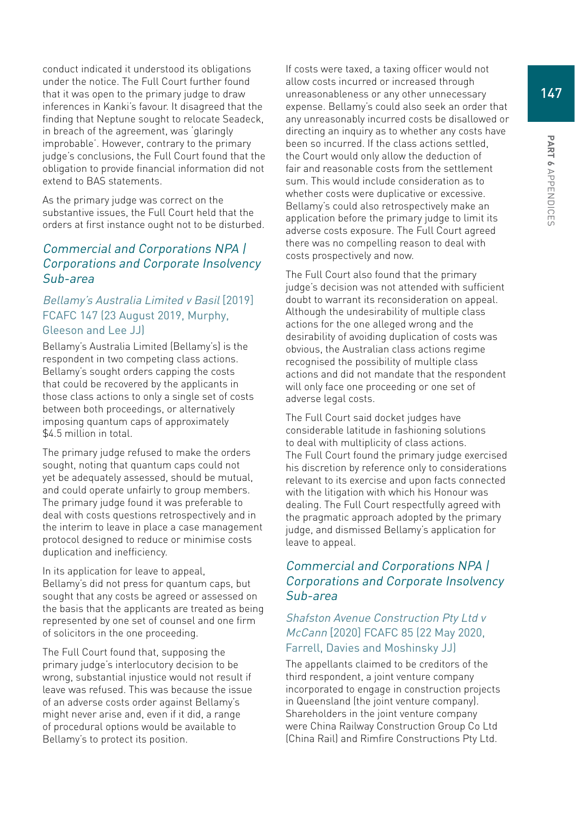conduct indicated it understood its obligations under the notice. The Full Court further found that it was open to the primary judge to draw inferences in Kanki's favour. It disagreed that the finding that Neptune sought to relocate Seadeck, in breach of the agreement, was 'glaringly improbable'. However, contrary to the primary judge's conclusions, the Full Court found that the obligation to provide financial information did not extend to BAS statements.

As the primary judge was correct on the substantive issues, the Full Court held that the orders at first instance ought not to be disturbed.

# Commercial and Corporations NPA | Corporations and Corporate Insolvency Sub-area

#### Bellamy's Australia Limited v Basil [2019] FCAFC 147 (23 August 2019, Murphy, Gleeson and Lee JJ)

Bellamy's Australia Limited (Bellamy's) is the respondent in two competing class actions. Bellamy's sought orders capping the costs that could be recovered by the applicants in those class actions to only a single set of costs between both proceedings, or alternatively imposing quantum caps of approximately \$4.5 million in total.

The primary judge refused to make the orders sought, noting that quantum caps could not yet be adequately assessed, should be mutual, and could operate unfairly to group members. The primary judge found it was preferable to deal with costs questions retrospectively and in the interim to leave in place a case management protocol designed to reduce or minimise costs duplication and inefficiency.

In its application for leave to appeal, Bellamy's did not press for quantum caps, but sought that any costs be agreed or assessed on the basis that the applicants are treated as being represented by one set of counsel and one firm of solicitors in the one proceeding.

The Full Court found that, supposing the primary judge's interlocutory decision to be wrong, substantial injustice would not result if leave was refused. This was because the issue of an adverse costs order against Bellamy's might never arise and, even if it did, a range of procedural options would be available to Bellamy's to protect its position.

If costs were taxed, a taxing officer would not allow costs incurred or increased through unreasonableness or any other unnecessary expense. Bellamy's could also seek an order that any unreasonably incurred costs be disallowed or directing an inquiry as to whether any costs have been so incurred. If the class actions settled, the Court would only allow the deduction of fair and reasonable costs from the settlement sum. This would include consideration as to whether costs were duplicative or excessive. Bellamy's could also retrospectively make an application before the primary judge to limit its adverse costs exposure. The Full Court agreed there was no compelling reason to deal with costs prospectively and now.

The Full Court also found that the primary judge's decision was not attended with sufficient doubt to warrant its reconsideration on appeal. Although the undesirability of multiple class actions for the one alleged wrong and the desirability of avoiding duplication of costs was obvious, the Australian class actions regime recognised the possibility of multiple class actions and did not mandate that the respondent will only face one proceeding or one set of adverse legal costs.

The Full Court said docket judges have considerable latitude in fashioning solutions to deal with multiplicity of class actions. The Full Court found the primary judge exercised his discretion by reference only to considerations relevant to its exercise and upon facts connected with the litigation with which his Honour was dealing. The Full Court respectfully agreed with the pragmatic approach adopted by the primary judge, and dismissed Bellamy's application for leave to appeal.

# Commercial and Corporations NPA | Corporations and Corporate Insolvency Sub-area

#### Shafston Avenue Construction Pty Ltd v McCann [2020] FCAFC 85 (22 May 2020, Farrell, Davies and Moshinsky JJ)

The appellants claimed to be creditors of the third respondent, a joint venture company incorporated to engage in construction projects in Queensland (the joint venture company). Shareholders in the joint venture company were China Railway Construction Group Co Ltd (China Rail) and Rimfire Constructions Pty Ltd.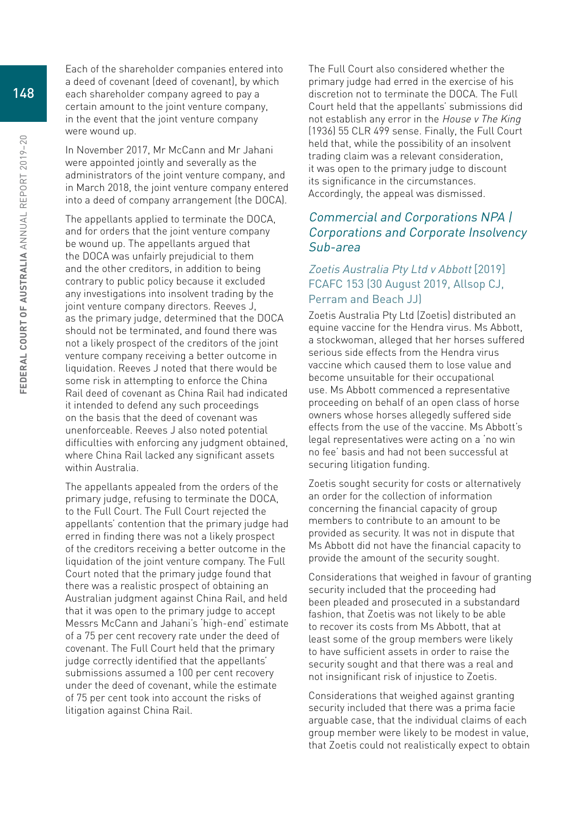Each of the shareholder companies entered into a deed of covenant (deed of covenant), by which each shareholder company agreed to pay a certain amount to the joint venture company, in the event that the joint venture company were wound up.

In November 2017, Mr McCann and Mr Jahani were appointed jointly and severally as the administrators of the joint venture company, and in March 2018, the joint venture company entered into a deed of company arrangement (the DOCA).

The appellants applied to terminate the DOCA, and for orders that the joint venture company be wound up. The appellants argued that the DOCA was unfairly prejudicial to them and the other creditors, in addition to being contrary to public policy because it excluded any investigations into insolvent trading by the joint venture company directors. Reeves J, as the primary judge, determined that the DOCA should not be terminated, and found there was not a likely prospect of the creditors of the joint venture company receiving a better outcome in liquidation. Reeves J noted that there would be some risk in attempting to enforce the China Rail deed of covenant as China Rail had indicated it intended to defend any such proceedings on the basis that the deed of covenant was unenforceable. Reeves J also noted potential difficulties with enforcing any judgment obtained, where China Rail lacked any significant assets within Australia.

The appellants appealed from the orders of the primary judge, refusing to terminate the DOCA, to the Full Court. The Full Court rejected the appellants' contention that the primary judge had erred in finding there was not a likely prospect of the creditors receiving a better outcome in the liquidation of the joint venture company. The Full Court noted that the primary judge found that there was a realistic prospect of obtaining an Australian judgment against China Rail, and held that it was open to the primary judge to accept Messrs McCann and Jahani's 'high-end' estimate of a 75 per cent recovery rate under the deed of covenant. The Full Court held that the primary judge correctly identified that the appellants' submissions assumed a 100 per cent recovery under the deed of covenant, while the estimate of 75 per cent took into account the risks of litigation against China Rail.

The Full Court also considered whether the primary judge had erred in the exercise of his discretion not to terminate the DOCA. The Full Court held that the appellants' submissions did not establish any error in the House v The King (1936) 55 CLR 499 sense. Finally, the Full Court held that, while the possibility of an insolvent trading claim was a relevant consideration, it was open to the primary judge to discount its significance in the circumstances. Accordingly, the appeal was dismissed.

# Commercial and Corporations NPA | Corporations and Corporate Insolvency Sub-area

#### Zoetis Australia Pty Ltd v Abbott [2019] FCAFC 153 (30 August 2019, Allsop CJ, Perram and Beach JJ)

Zoetis Australia Pty Ltd (Zoetis) distributed an equine vaccine for the Hendra virus. Ms Abbott, a stockwoman, alleged that her horses suffered serious side effects from the Hendra virus vaccine which caused them to lose value and become unsuitable for their occupational use. Ms Abbott commenced a representative proceeding on behalf of an open class of horse owners whose horses allegedly suffered side effects from the use of the vaccine. Ms Abbott's legal representatives were acting on a 'no win no fee' basis and had not been successful at securing litigation funding.

Zoetis sought security for costs or alternatively an order for the collection of information concerning the financial capacity of group members to contribute to an amount to be provided as security. It was not in dispute that Ms Abbott did not have the financial capacity to provide the amount of the security sought.

Considerations that weighed in favour of granting security included that the proceeding had been pleaded and prosecuted in a substandard fashion, that Zoetis was not likely to be able to recover its costs from Ms Abbott, that at least some of the group members were likely to have sufficient assets in order to raise the security sought and that there was a real and not insignificant risk of injustice to Zoetis.

Considerations that weighed against granting security included that there was a prima facie arguable case, that the individual claims of each group member were likely to be modest in value, that Zoetis could not realistically expect to obtain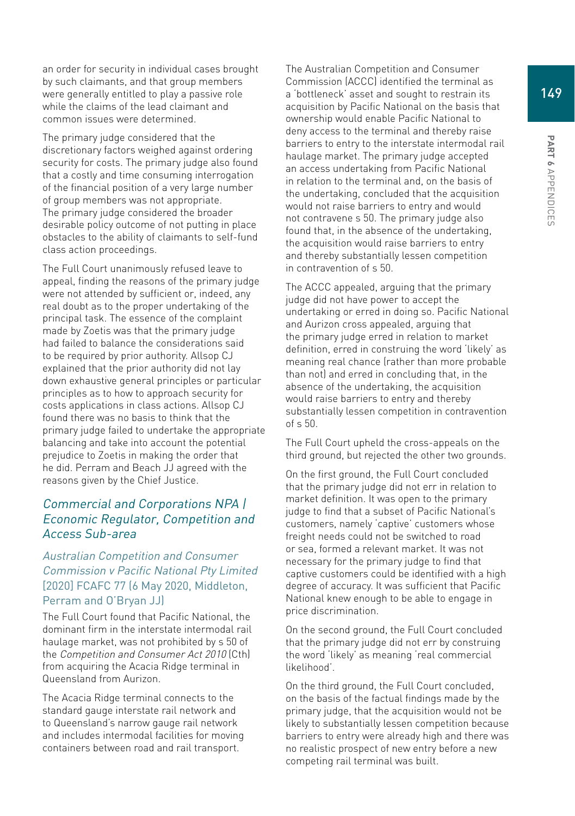Appendices

an order for security in individual cases brought by such claimants, and that group members were generally entitled to play a passive role while the claims of the lead claimant and common issues were determined.

The primary judge considered that the discretionary factors weighed against ordering security for costs. The primary judge also found that a costly and time consuming interrogation of the financial position of a very large number of group members was not appropriate. The primary judge considered the broader desirable policy outcome of not putting in place obstacles to the ability of claimants to self-fund class action proceedings.

The Full Court unanimously refused leave to appeal, finding the reasons of the primary judge were not attended by sufficient or, indeed, any real doubt as to the proper undertaking of the principal task. The essence of the complaint made by Zoetis was that the primary judge had failed to balance the considerations said to be required by prior authority. Allsop CJ explained that the prior authority did not lay down exhaustive general principles or particular principles as to how to approach security for costs applications in class actions. Allsop CJ found there was no basis to think that the primary judge failed to undertake the appropriate balancing and take into account the potential prejudice to Zoetis in making the order that he did. Perram and Beach JJ agreed with the reasons given by the Chief Justice.

# Commercial and Corporations NPA | Economic Regulator, Competition and Access Sub-area

#### Australian Competition and Consumer Commission v Pacific National Pty Limited [2020] FCAFC 77 (6 May 2020, Middleton, Perram and O'Bryan JJ)

The Full Court found that Pacific National, the dominant firm in the interstate intermodal rail haulage market, was not prohibited by s 50 of the Competition and Consumer Act 2010 (Cth) from acquiring the Acacia Ridge terminal in Queensland from Aurizon.

The Acacia Ridge terminal connects to the standard gauge interstate rail network and to Queensland's narrow gauge rail network and includes intermodal facilities for moving containers between road and rail transport.

The Australian Competition and Consumer Commission (ACCC) identified the terminal as a 'bottleneck' asset and sought to restrain its acquisition by Pacific National on the basis that ownership would enable Pacific National to deny access to the terminal and thereby raise barriers to entry to the interstate intermodal rail haulage market. The primary judge accepted an access undertaking from Pacific National in relation to the terminal and, on the basis of the undertaking, concluded that the acquisition would not raise barriers to entry and would not contravene s 50. The primary judge also found that, in the absence of the undertaking, the acquisition would raise barriers to entry and thereby substantially lessen competition in contravention of s 50.

The ACCC appealed, arguing that the primary judge did not have power to accept the undertaking or erred in doing so. Pacific National and Aurizon cross appealed, arguing that the primary judge erred in relation to market definition, erred in construing the word 'likely' as meaning real chance (rather than more probable than not) and erred in concluding that, in the absence of the undertaking, the acquisition would raise barriers to entry and thereby substantially lessen competition in contravention of s 50.

The Full Court upheld the cross-appeals on the third ground, but rejected the other two grounds.

On the first ground, the Full Court concluded that the primary judge did not err in relation to market definition. It was open to the primary judge to find that a subset of Pacific National's customers, namely 'captive' customers whose freight needs could not be switched to road or sea, formed a relevant market. It was not necessary for the primary judge to find that captive customers could be identified with a high degree of accuracy. It was sufficient that Pacific National knew enough to be able to engage in price discrimination.

On the second ground, the Full Court concluded that the primary judge did not err by construing the word 'likely' as meaning 'real commercial likelihood'.

On the third ground, the Full Court concluded, on the basis of the factual findings made by the primary judge, that the acquisition would not be likely to substantially lessen competition because barriers to entry were already high and there was no realistic prospect of new entry before a new competing rail terminal was built.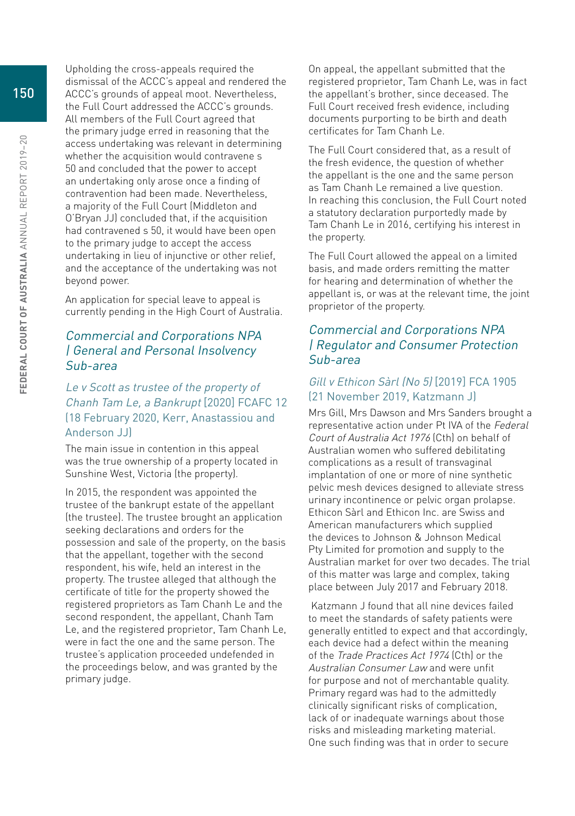Upholding the cross-appeals required the dismissal of the ACCC's appeal and rendered the ACCC's grounds of appeal moot. Nevertheless, the Full Court addressed the ACCC's grounds. All members of the Full Court agreed that the primary judge erred in reasoning that the access undertaking was relevant in determining whether the acquisition would contravene s 50 and concluded that the power to accept an undertaking only arose once a finding of contravention had been made. Nevertheless, a majority of the Full Court (Middleton and O'Bryan JJ) concluded that, if the acquisition had contravened s 50, it would have been open to the primary judge to accept the access undertaking in lieu of injunctive or other relief, and the acceptance of the undertaking was not beyond power.

An application for special leave to appeal is currently pending in the High Court of Australia.

#### Commercial and Corporations NPA | General and Personal Insolvency Sub-area

# Le v Scott as trustee of the property of Chanh Tam Le, a Bankrupt [2020] FCAFC 12 (18 February 2020, Kerr, Anastassiou and Anderson JJ)

The main issue in contention in this appeal was the true ownership of a property located in Sunshine West, Victoria (the property).

In 2015, the respondent was appointed the trustee of the bankrupt estate of the appellant (the trustee). The trustee brought an application seeking declarations and orders for the possession and sale of the property, on the basis that the appellant, together with the second respondent, his wife, held an interest in the property. The trustee alleged that although the certificate of title for the property showed the registered proprietors as Tam Chanh Le and the second respondent, the appellant, Chanh Tam Le, and the registered proprietor, Tam Chanh Le, were in fact the one and the same person. The trustee's application proceeded undefended in the proceedings below, and was granted by the primary judge.

On appeal, the appellant submitted that the registered proprietor, Tam Chanh Le, was in fact the appellant's brother, since deceased. The Full Court received fresh evidence, including documents purporting to be birth and death certificates for Tam Chanh Le.

The Full Court considered that, as a result of the fresh evidence, the question of whether the appellant is the one and the same person as Tam Chanh Le remained a live question. In reaching this conclusion, the Full Court noted a statutory declaration purportedly made by Tam Chanh Le in 2016, certifying his interest in the property.

The Full Court allowed the appeal on a limited basis, and made orders remitting the matter for hearing and determination of whether the appellant is, or was at the relevant time, the joint proprietor of the property.

# Commercial and Corporations NPA | Regulator and Consumer Protection Sub-area

#### Gill v Ethicon Sàrl (No 5) [2019] FCA 1905 (21 November 2019, Katzmann J)

Mrs Gill, Mrs Dawson and Mrs Sanders brought a representative action under Pt IVA of the Federal Court of Australia Act 1976 (Cth) on behalf of Australian women who suffered debilitating complications as a result of transvaginal implantation of one or more of nine synthetic pelvic mesh devices designed to alleviate stress urinary incontinence or pelvic organ prolapse. Ethicon Sàrl and Ethicon Inc. are Swiss and American manufacturers which supplied the devices to Johnson & Johnson Medical Pty Limited for promotion and supply to the Australian market for over two decades. The trial of this matter was large and complex, taking place between July 2017 and February 2018.

 Katzmann J found that all nine devices failed to meet the standards of safety patients were generally entitled to expect and that accordingly, each device had a defect within the meaning of the Trade Practices Act 1974 (Cth) or the Australian Consumer Law and were unfit for purpose and not of merchantable quality. Primary regard was had to the admittedly clinically significant risks of complication, lack of or inadequate warnings about those risks and misleading marketing material. One such finding was that in order to secure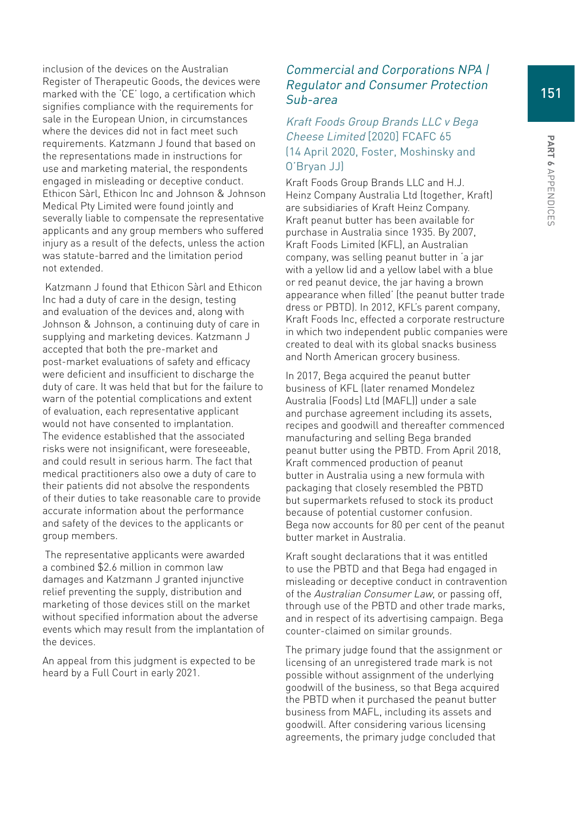inclusion of the devices on the Australian Register of Therapeutic Goods, the devices were marked with the 'CE' logo, a certification which signifies compliance with the requirements for sale in the European Union, in circumstances where the devices did not in fact meet such requirements. Katzmann J found that based on the representations made in instructions for use and marketing material, the respondents engaged in misleading or deceptive conduct. Ethicon Sàrl, Ethicon Inc and Johnson & Johnson Medical Pty Limited were found jointly and severally liable to compensate the representative applicants and any group members who suffered injury as a result of the defects, unless the action was statute-barred and the limitation period not extended.

 Katzmann J found that Ethicon Sàrl and Ethicon Inc had a duty of care in the design, testing and evaluation of the devices and, along with Johnson & Johnson, a continuing duty of care in supplying and marketing devices. Katzmann J accepted that both the pre-market and post-market evaluations of safety and efficacy were deficient and insufficient to discharge the duty of care. It was held that but for the failure to warn of the potential complications and extent of evaluation, each representative applicant would not have consented to implantation. The evidence established that the associated risks were not insignificant, were foreseeable, and could result in serious harm. The fact that medical practitioners also owe a duty of care to their patients did not absolve the respondents of their duties to take reasonable care to provide accurate information about the performance and safety of the devices to the applicants or group members.

 The representative applicants were awarded a combined \$2.6 million in common law damages and Katzmann J granted injunctive relief preventing the supply, distribution and marketing of those devices still on the market without specified information about the adverse events which may result from the implantation of the devices.

An appeal from this judgment is expected to be heard by a Full Court in early 2021.

### Commercial and Corporations NPA | Regulator and Consumer Protection Sub-area

### Kraft Foods Group Brands LLC v Bega Cheese Limited [2020] FCAFC 65 (14 April 2020, Foster, Moshinsky and O'Bryan JJ)

Kraft Foods Group Brands LLC and H.J. Heinz Company Australia Ltd (together, Kraft) are subsidiaries of Kraft Heinz Company. Kraft peanut butter has been available for purchase in Australia since 1935. By 2007, Kraft Foods Limited (KFL), an Australian company, was selling peanut butter in 'a jar with a yellow lid and a yellow label with a blue or red peanut device, the jar having a brown appearance when filled' (the peanut butter trade dress or PBTD). In 2012, KFL's parent company, Kraft Foods Inc, effected a corporate restructure in which two independent public companies were created to deal with its global snacks business and North American grocery business.

In 2017, Bega acquired the peanut butter business of KFL (later renamed Mondelez Australia (Foods) Ltd (MAFL)) under a sale and purchase agreement including its assets, recipes and goodwill and thereafter commenced manufacturing and selling Bega branded peanut butter using the PBTD. From April 2018, Kraft commenced production of peanut butter in Australia using a new formula with packaging that closely resembled the PBTD but supermarkets refused to stock its product because of potential customer confusion. Bega now accounts for 80 per cent of the peanut butter market in Australia.

Kraft sought declarations that it was entitled to use the PBTD and that Bega had engaged in misleading or deceptive conduct in contravention of the Australian Consumer Law, or passing off, through use of the PBTD and other trade marks, and in respect of its advertising campaign. Bega counter-claimed on similar grounds.

The primary judge found that the assignment or licensing of an unregistered trade mark is not possible without assignment of the underlying goodwill of the business, so that Bega acquired the PBTD when it purchased the peanut butter business from MAFL, including its assets and goodwill. After considering various licensing agreements, the primary judge concluded that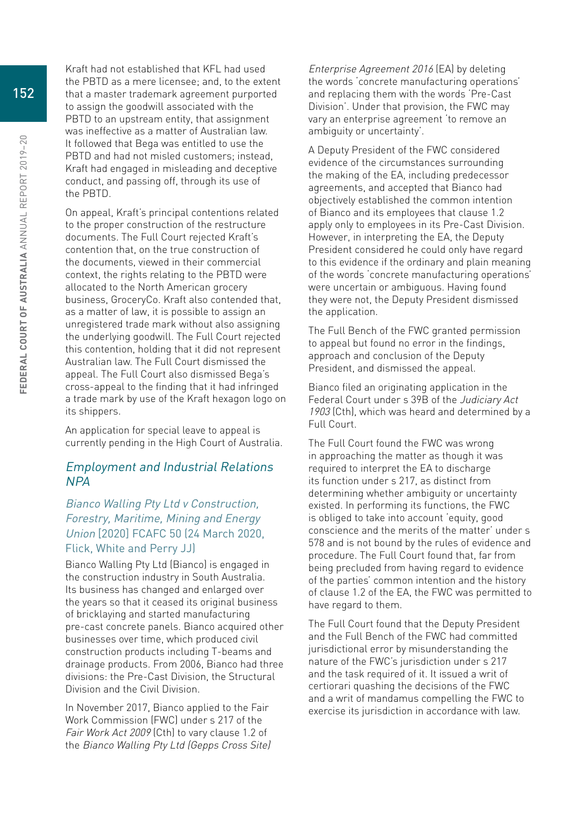Kraft had not established that KFL had used the PBTD as a mere licensee; and, to the extent that a master trademark agreement purported to assign the goodwill associated with the PBTD to an upstream entity, that assignment was ineffective as a matter of Australian law. It followed that Bega was entitled to use the PBTD and had not misled customers; instead, Kraft had engaged in misleading and deceptive conduct, and passing off, through its use of the PBTD.

On appeal, Kraft's principal contentions related to the proper construction of the restructure documents. The Full Court rejected Kraft's contention that, on the true construction of the documents, viewed in their commercial context, the rights relating to the PBTD were allocated to the North American grocery business, GroceryCo. Kraft also contended that, as a matter of law, it is possible to assign an unregistered trade mark without also assigning the underlying goodwill. The Full Court rejected this contention, holding that it did not represent Australian law. The Full Court dismissed the appeal. The Full Court also dismissed Bega's cross-appeal to the finding that it had infringed a trade mark by use of the Kraft hexagon logo on its shippers.

An application for special leave to appeal is currently pending in the High Court of Australia.

#### Employment and Industrial Relations NPA

#### Bianco Walling Pty Ltd v Construction, Forestry, Maritime, Mining and Energy Union [2020] FCAFC 50 (24 March 2020, Flick, White and Perry JJ)

Bianco Walling Pty Ltd (Bianco) is engaged in the construction industry in South Australia. Its business has changed and enlarged over the years so that it ceased its original business of bricklaying and started manufacturing pre-cast concrete panels. Bianco acquired other businesses over time, which produced civil construction products including T-beams and drainage products. From 2006, Bianco had three divisions: the Pre-Cast Division, the Structural Division and the Civil Division.

In November 2017, Bianco applied to the Fair Work Commission (FWC) under s 217 of the Fair Work Act 2009 (Cth) to vary clause 1.2 of the Bianco Walling Pty Ltd (Gepps Cross Site) Enterprise Agreement 2016 (EA) by deleting the words 'concrete manufacturing operations' and replacing them with the words 'Pre-Cast Division'. Under that provision, the FWC may vary an enterprise agreement 'to remove an ambiguity or uncertainty'.

A Deputy President of the FWC considered evidence of the circumstances surrounding the making of the EA, including predecessor agreements, and accepted that Bianco had objectively established the common intention of Bianco and its employees that clause 1.2 apply only to employees in its Pre-Cast Division. However, in interpreting the EA, the Deputy President considered he could only have regard to this evidence if the ordinary and plain meaning of the words 'concrete manufacturing operations' were uncertain or ambiguous. Having found they were not, the Deputy President dismissed the application.

The Full Bench of the FWC granted permission to appeal but found no error in the findings, approach and conclusion of the Deputy President, and dismissed the appeal.

Bianco filed an originating application in the Federal Court under s 39B of the Judiciary Act 1903 (Cth), which was heard and determined by a Full Court.

The Full Court found the FWC was wrong in approaching the matter as though it was required to interpret the EA to discharge its function under s 217, as distinct from determining whether ambiguity or uncertainty existed. In performing its functions, the FWC is obliged to take into account 'equity, good conscience and the merits of the matter' under s 578 and is not bound by the rules of evidence and procedure. The Full Court found that, far from being precluded from having regard to evidence of the parties' common intention and the history of clause 1.2 of the EA, the FWC was permitted to have regard to them.

The Full Court found that the Deputy President and the Full Bench of the FWC had committed jurisdictional error by misunderstanding the nature of the FWC's jurisdiction under s 217 and the task required of it. It issued a writ of certiorari quashing the decisions of the FWC and a writ of mandamus compelling the FWC to exercise its jurisdiction in accordance with law.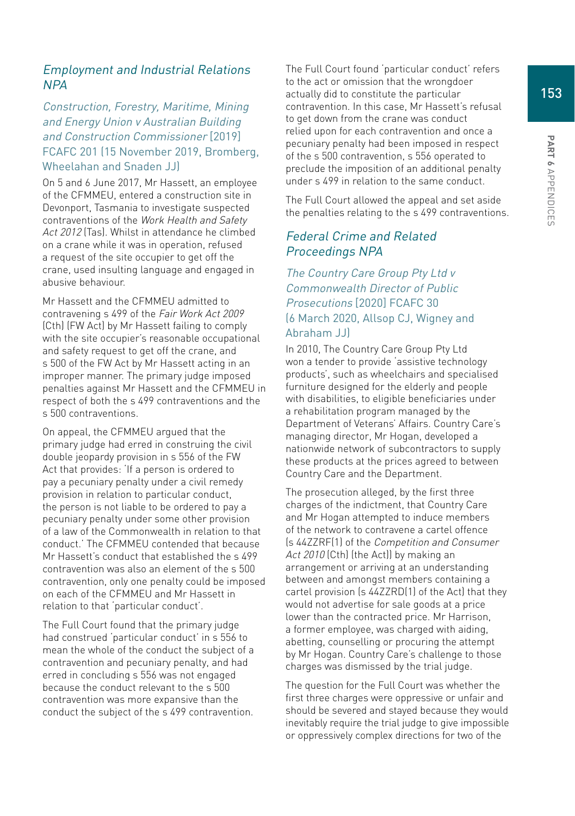# Employment and Industrial Relations NPA

#### Construction, Forestry, Maritime, Mining and Energy Union v Australian Building and Construction Commissioner [2019] FCAFC 201 (15 November 2019, Bromberg, Wheelahan and Snaden JJ)

On 5 and 6 June 2017, Mr Hassett, an employee of the CFMMEU, entered a construction site in Devonport, Tasmania to investigate suspected contraventions of the Work Health and Safety Act 2012 (Tas). Whilst in attendance he climbed on a crane while it was in operation, refused a request of the site occupier to get off the crane, used insulting language and engaged in abusive behaviour.

Mr Hassett and the CFMMEU admitted to contravening s 499 of the Fair Work Act 2009 (Cth) (FW Act) by Mr Hassett failing to comply with the site occupier's reasonable occupational and safety request to get off the crane, and s 500 of the FW Act by Mr Hassett acting in an improper manner. The primary judge imposed penalties against Mr Hassett and the CFMMEU in respect of both the s 499 contraventions and the s 500 contraventions.

On appeal, the CFMMEU argued that the primary judge had erred in construing the civil double jeopardy provision in s 556 of the FW Act that provides: 'If a person is ordered to pay a pecuniary penalty under a civil remedy provision in relation to particular conduct, the person is not liable to be ordered to pay a pecuniary penalty under some other provision of a law of the Commonwealth in relation to that conduct.' The CFMMEU contended that because Mr Hassett's conduct that established the s 499 contravention was also an element of the s 500 contravention, only one penalty could be imposed on each of the CFMMEU and Mr Hassett in relation to that 'particular conduct'.

The Full Court found that the primary judge had construed 'particular conduct' in s 556 to mean the whole of the conduct the subject of a contravention and pecuniary penalty, and had erred in concluding s 556 was not engaged because the conduct relevant to the s 500 contravention was more expansive than the conduct the subject of the s 499 contravention. The Full Court found 'particular conduct' refers to the act or omission that the wrongdoer actually did to constitute the particular contravention. In this case, Mr Hassett's refusal to get down from the crane was conduct relied upon for each contravention and once a pecuniary penalty had been imposed in respect of the s 500 contravention, s 556 operated to preclude the imposition of an additional penalty under s 499 in relation to the same conduct.

The Full Court allowed the appeal and set aside the penalties relating to the s 499 contraventions.

#### Federal Crime and Related Proceedings NPA

# The Country Care Group Pty Ltd v Commonwealth Director of Public Prosecutions [2020] FCAFC 30 (6 March 2020, Allsop CJ, Wigney and Abraham JJ)

In 2010, The Country Care Group Pty Ltd won a tender to provide 'assistive technology products', such as wheelchairs and specialised furniture designed for the elderly and people with disabilities, to eligible beneficiaries under a rehabilitation program managed by the Department of Veterans' Affairs. Country Care's managing director, Mr Hogan, developed a nationwide network of subcontractors to supply these products at the prices agreed to between Country Care and the Department.

The prosecution alleged, by the first three charges of the indictment, that Country Care and Mr Hogan attempted to induce members of the network to contravene a cartel offence (s 44ZZRF(1) of the Competition and Consumer Act 2010 (Cth) (the Act)) by making an arrangement or arriving at an understanding between and amongst members containing a cartel provision (s 44ZZRD(1) of the Act) that they would not advertise for sale goods at a price lower than the contracted price. Mr Harrison, a former employee, was charged with aiding, abetting, counselling or procuring the attempt by Mr Hogan. Country Care's challenge to those charges was dismissed by the trial judge.

The question for the Full Court was whether the first three charges were oppressive or unfair and should be severed and stayed because they would inevitably require the trial judge to give impossible or oppressively complex directions for two of the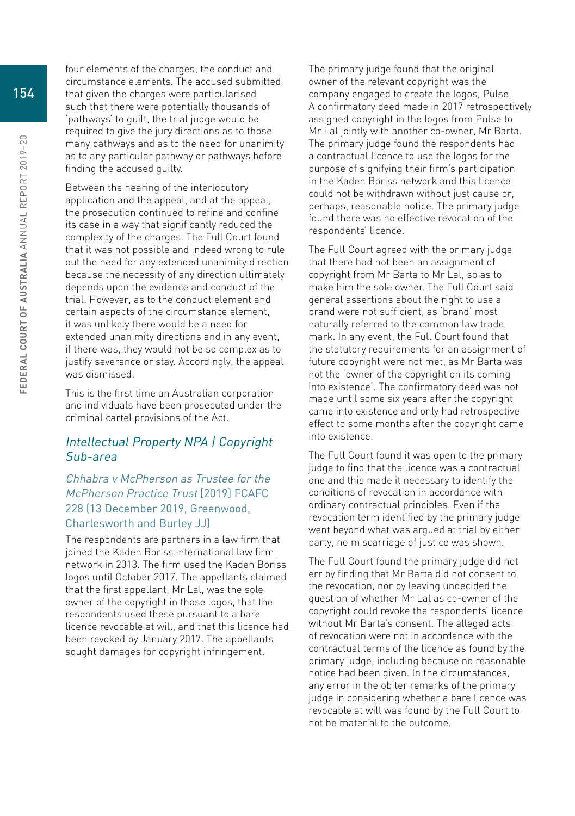four elements of the charges; the conduct and circumstance elements. The accused submitted that given the charges were particularised such that there were potentially thousands of 'pathways' to guilt, the trial judge would be required to give the jury directions as to those many pathways and as to the need for unanimity as to any particular pathway or pathways before finding the accused guilty.

Between the hearing of the interlocutory application and the appeal, and at the appeal, the prosecution continued to refine and confine its case in a way that significantly reduced the complexity of the charges. The Full Court found that it was not possible and indeed wrong to rule out the need for any extended unanimity direction because the necessity of any direction ultimately depends upon the evidence and conduct of the trial. However, as to the conduct element and certain aspects of the circumstance element, it was unlikely there would be a need for extended unanimity directions and in any event, if there was, they would not be so complex as to justify severance or stay. Accordingly, the appeal was dismissed.

This is the first time an Australian corporation and individuals have been prosecuted under the criminal cartel provisions of the Act.

#### Intellectual Property NPA | Copyright Sub-area

# Chhabra v McPherson as Trustee for the McPherson Practice Trust [2019] FCAFC 228 (13 December 2019, Greenwood, Charlesworth and Burley JJ)

The respondents are partners in a law firm that joined the Kaden Boriss international law firm network in 2013. The firm used the Kaden Boriss logos until October 2017. The appellants claimed that the first appellant, Mr Lal, was the sole owner of the copyright in those logos, that the respondents used these pursuant to a bare licence revocable at will, and that this licence had been revoked by January 2017. The appellants sought damages for copyright infringement.

The primary judge found that the original owner of the relevant copyright was the company engaged to create the logos, Pulse. A confirmatory deed made in 2017 retrospectively assigned copyright in the logos from Pulse to Mr Lal jointly with another co-owner, Mr Barta. The primary judge found the respondents had a contractual licence to use the logos for the purpose of signifying their firm's participation in the Kaden Boriss network and this licence could not be withdrawn without just cause or, perhaps, reasonable notice. The primary judge found there was no effective revocation of the respondents' licence.

The Full Court agreed with the primary judge that there had not been an assignment of copyright from Mr Barta to Mr Lal, so as to make him the sole owner. The Full Court said general assertions about the right to use a brand were not sufficient, as 'brand' most naturally referred to the common law trade mark. In any event, the Full Court found that the statutory requirements for an assignment of future copyright were not met, as Mr Barta was not the 'owner of the copyright on its coming into existence'. The confirmatory deed was not made until some six years after the copyright came into existence and only had retrospective effect to some months after the copyright came into existence.

The Full Court found it was open to the primary judge to find that the licence was a contractual one and this made it necessary to identify the conditions of revocation in accordance with ordinary contractual principles. Even if the revocation term identified by the primary judge went beyond what was argued at trial by either party, no miscarriage of justice was shown.

The Full Court found the primary judge did not err by finding that Mr Barta did not consent to the revocation, nor by leaving undecided the question of whether Mr Lal as co-owner of the copyright could revoke the respondents' licence without Mr Barta's consent. The alleged acts of revocation were not in accordance with the contractual terms of the licence as found by the primary judge, including because no reasonable notice had been given. In the circumstances, any error in the obiter remarks of the primary judge in considering whether a bare licence was revocable at will was found by the Full Court to not be material to the outcome.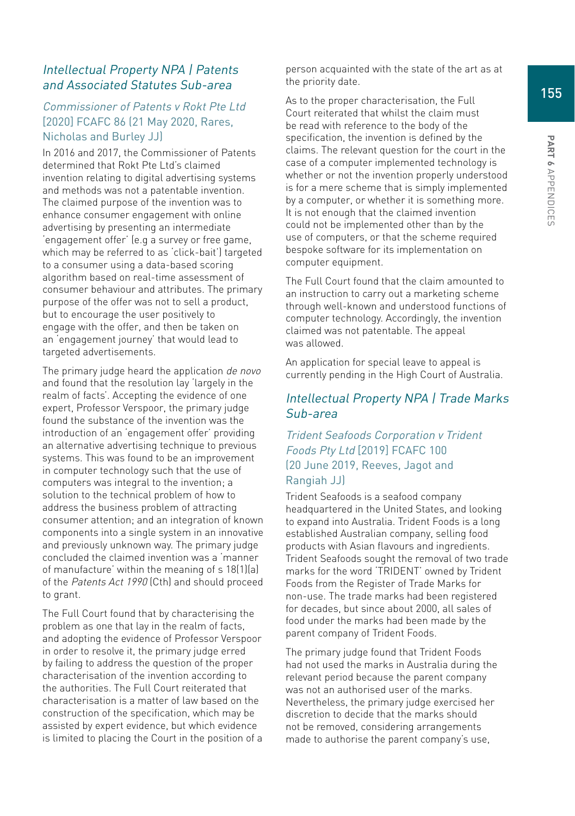# Intellectual Property NPA | Patents and Associated Statutes Sub-area

# Commissioner of Patents v Rokt Pte Ltd [2020] FCAFC 86 (21 May 2020, Rares, Nicholas and Burley JJ)

In 2016 and 2017, the Commissioner of Patents determined that Rokt Pte Ltd's claimed invention relating to digital advertising systems and methods was not a patentable invention. The claimed purpose of the invention was to enhance consumer engagement with online advertising by presenting an intermediate 'engagement offer' (e.g a survey or free game, which may be referred to as 'click-bait') targeted to a consumer using a data-based scoring algorithm based on real-time assessment of consumer behaviour and attributes. The primary purpose of the offer was not to sell a product, but to encourage the user positively to engage with the offer, and then be taken on an 'engagement journey' that would lead to targeted advertisements.

The primary judge heard the application de novo and found that the resolution lay 'largely in the realm of facts'. Accepting the evidence of one expert, Professor Verspoor, the primary judge found the substance of the invention was the introduction of an 'engagement offer' providing an alternative advertising technique to previous systems. This was found to be an improvement in computer technology such that the use of computers was integral to the invention; a solution to the technical problem of how to address the business problem of attracting consumer attention; and an integration of known components into a single system in an innovative and previously unknown way. The primary judge concluded the claimed invention was a 'manner of manufacture' within the meaning of s 18(1)(a) of the Patents Act 1990 (Cth) and should proceed to grant.

The Full Court found that by characterising the problem as one that lay in the realm of facts, and adopting the evidence of Professor Verspoor in order to resolve it, the primary judge erred by failing to address the question of the proper characterisation of the invention according to the authorities. The Full Court reiterated that characterisation is a matter of law based on the construction of the specification, which may be assisted by expert evidence, but which evidence is limited to placing the Court in the position of a person acquainted with the state of the art as at the priority date.

As to the proper characterisation, the Full Court reiterated that whilst the claim must be read with reference to the body of the specification, the invention is defined by the claims. The relevant question for the court in the case of a computer implemented technology is whether or not the invention properly understood is for a mere scheme that is simply implemented by a computer, or whether it is something more. It is not enough that the claimed invention could not be implemented other than by the use of computers, or that the scheme required bespoke software for its implementation on computer equipment.

The Full Court found that the claim amounted to an instruction to carry out a marketing scheme through well-known and understood functions of computer technology. Accordingly, the invention claimed was not patentable. The appeal was allowed.

An application for special leave to appeal is currently pending in the High Court of Australia.

# Intellectual Property NPA | Trade Marks Sub-area

### Trident Seafoods Corporation v Trident Foods Pty Ltd [2019] FCAFC 100 (20 June 2019, Reeves, Jagot and Rangiah JJ)

Trident Seafoods is a seafood company headquartered in the United States, and looking to expand into Australia. Trident Foods is a long established Australian company, selling food products with Asian flavours and ingredients. Trident Seafoods sought the removal of two trade marks for the word 'TRIDENT' owned by Trident Foods from the Register of Trade Marks for non-use. The trade marks had been registered for decades, but since about 2000, all sales of food under the marks had been made by the parent company of Trident Foods.

The primary judge found that Trident Foods had not used the marks in Australia during the relevant period because the parent company was not an authorised user of the marks. Nevertheless, the primary judge exercised her discretion to decide that the marks should not be removed, considering arrangements made to authorise the parent company's use,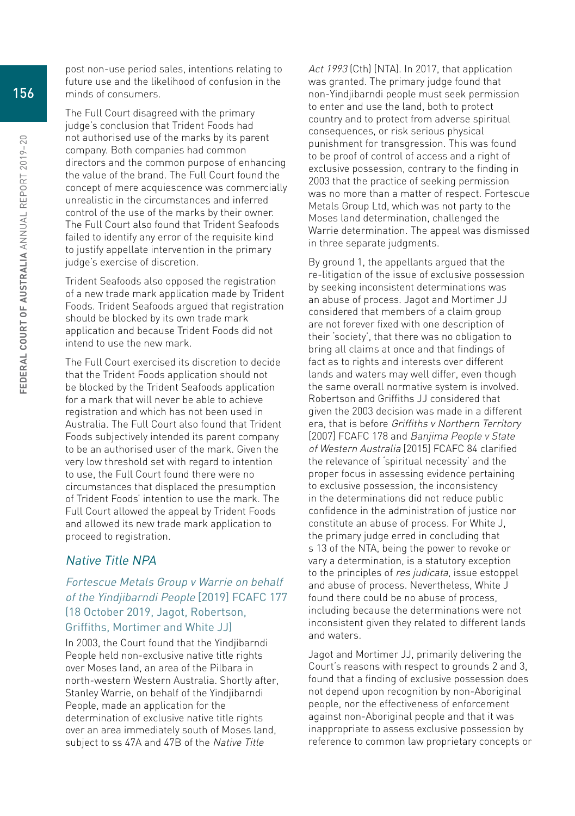post non-use period sales, intentions relating to future use and the likelihood of confusion in the minds of consumers.

The Full Court disagreed with the primary judge's conclusion that Trident Foods had not authorised use of the marks by its parent company. Both companies had common directors and the common purpose of enhancing the value of the brand. The Full Court found the concept of mere acquiescence was commercially unrealistic in the circumstances and inferred control of the use of the marks by their owner. The Full Court also found that Trident Seafoods failed to identify any error of the requisite kind to justify appellate intervention in the primary judge's exercise of discretion.

Trident Seafoods also opposed the registration of a new trade mark application made by Trident Foods. Trident Seafoods argued that registration should be blocked by its own trade mark application and because Trident Foods did not intend to use the new mark.

The Full Court exercised its discretion to decide that the Trident Foods application should not be blocked by the Trident Seafoods application for a mark that will never be able to achieve registration and which has not been used in Australia. The Full Court also found that Trident Foods subjectively intended its parent company to be an authorised user of the mark. Given the very low threshold set with regard to intention to use, the Full Court found there were no circumstances that displaced the presumption of Trident Foods' intention to use the mark. The Full Court allowed the appeal by Trident Foods and allowed its new trade mark application to proceed to registration.

# Native Title NPA

# Fortescue Metals Group v Warrie on behalf of the Yindjibarndi People [2019] FCAFC 177 (18 October 2019, Jagot, Robertson, Griffiths, Mortimer and White JJ)

In 2003, the Court found that the Yindjibarndi People held non-exclusive native title rights over Moses land, an area of the Pilbara in north-western Western Australia. Shortly after, Stanley Warrie, on behalf of the Yindjibarndi People, made an application for the determination of exclusive native title rights over an area immediately south of Moses land, subject to ss 47A and 47B of the Native Title

Act 1993 (Cth) (NTA). In 2017, that application was granted. The primary judge found that non-Yindjibarndi people must seek permission to enter and use the land, both to protect country and to protect from adverse spiritual consequences, or risk serious physical punishment for transgression. This was found to be proof of control of access and a right of exclusive possession, contrary to the finding in 2003 that the practice of seeking permission was no more than a matter of respect. Fortescue Metals Group Ltd, which was not party to the Moses land determination, challenged the Warrie determination. The appeal was dismissed in three separate judgments.

By ground 1, the appellants argued that the re-litigation of the issue of exclusive possession by seeking inconsistent determinations was an abuse of process. Jagot and Mortimer JJ considered that members of a claim group are not forever fixed with one description of their 'society', that there was no obligation to bring all claims at once and that findings of fact as to rights and interests over different lands and waters may well differ, even though the same overall normative system is involved. Robertson and Griffiths JJ considered that given the 2003 decision was made in a different era, that is before Griffiths v Northern Territory [2007] FCAFC 178 and Banjima People v State of Western Australia [2015] FCAFC 84 clarified the relevance of 'spiritual necessity' and the proper focus in assessing evidence pertaining to exclusive possession, the inconsistency in the determinations did not reduce public confidence in the administration of justice nor constitute an abuse of process. For White J, the primary judge erred in concluding that s 13 of the NTA, being the power to revoke or vary a determination, is a statutory exception to the principles of res judicata, issue estoppel and abuse of process. Nevertheless, White J found there could be no abuse of process, including because the determinations were not inconsistent given they related to different lands and waters.

Jagot and Mortimer JJ, primarily delivering the Court's reasons with respect to grounds 2 and 3, found that a finding of exclusive possession does not depend upon recognition by non-Aboriginal people, nor the effectiveness of enforcement against non-Aboriginal people and that it was inappropriate to assess exclusive possession by reference to common law proprietary concepts or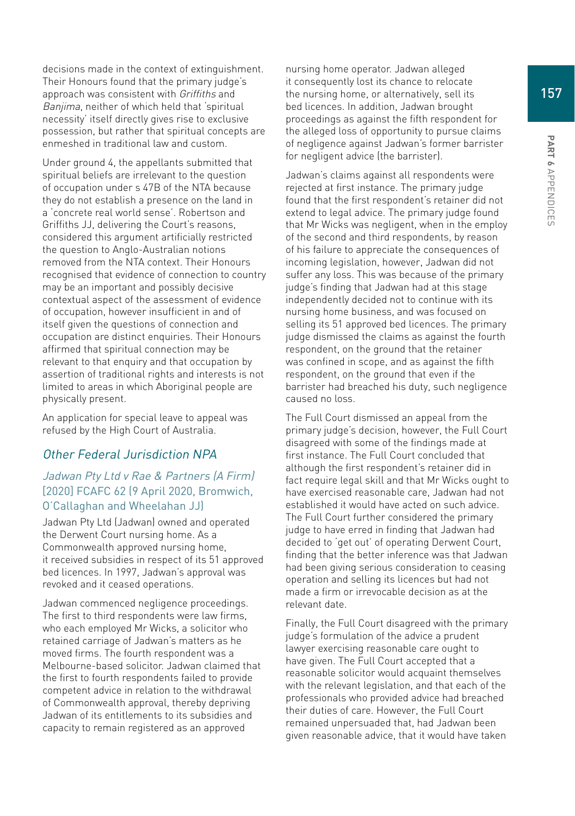decisions made in the context of extinguishment. Their Honours found that the primary judge's approach was consistent with Griffiths and Banjima, neither of which held that 'spiritual necessity' itself directly gives rise to exclusive possession, but rather that spiritual concepts are enmeshed in traditional law and custom.

Under ground 4, the appellants submitted that spiritual beliefs are irrelevant to the question of occupation under s 47B of the NTA because they do not establish a presence on the land in a 'concrete real world sense'. Robertson and Griffiths JJ, delivering the Court's reasons, considered this argument artificially restricted the question to Anglo-Australian notions removed from the NTA context. Their Honours recognised that evidence of connection to country may be an important and possibly decisive contextual aspect of the assessment of evidence of occupation, however insufficient in and of itself given the questions of connection and occupation are distinct enquiries. Their Honours affirmed that spiritual connection may be relevant to that enquiry and that occupation by assertion of traditional rights and interests is not limited to areas in which Aboriginal people are physically present.

An application for special leave to appeal was refused by the High Court of Australia.

#### Other Federal Jurisdiction NPA

#### Jadwan Pty Ltd v Rae & Partners (A Firm) [2020] FCAFC 62 (9 April 2020, Bromwich, O'Callaghan and Wheelahan JJ)

Jadwan Pty Ltd (Jadwan) owned and operated the Derwent Court nursing home. As a Commonwealth approved nursing home, it received subsidies in respect of its 51 approved bed licences. In 1997, Jadwan's approval was revoked and it ceased operations.

Jadwan commenced negligence proceedings. The first to third respondents were law firms, who each employed Mr Wicks, a solicitor who retained carriage of Jadwan's matters as he moved firms. The fourth respondent was a Melbourne-based solicitor. Jadwan claimed that the first to fourth respondents failed to provide competent advice in relation to the withdrawal of Commonwealth approval, thereby depriving Jadwan of its entitlements to its subsidies and capacity to remain registered as an approved

nursing home operator. Jadwan alleged it consequently lost its chance to relocate the nursing home, or alternatively, sell its bed licences. In addition, Jadwan brought proceedings as against the fifth respondent for the alleged loss of opportunity to pursue claims of negligence against Jadwan's former barrister for negligent advice (the barrister).

Jadwan's claims against all respondents were rejected at first instance. The primary judge found that the first respondent's retainer did not extend to legal advice. The primary judge found that Mr Wicks was negligent, when in the employ of the second and third respondents, by reason of his failure to appreciate the consequences of incoming legislation, however, Jadwan did not suffer any loss. This was because of the primary judge's finding that Jadwan had at this stage independently decided not to continue with its nursing home business, and was focused on selling its 51 approved bed licences. The primary judge dismissed the claims as against the fourth respondent, on the ground that the retainer was confined in scope, and as against the fifth respondent, on the ground that even if the barrister had breached his duty, such negligence caused no loss.

The Full Court dismissed an appeal from the primary judge's decision, however, the Full Court disagreed with some of the findings made at first instance. The Full Court concluded that although the first respondent's retainer did in fact require legal skill and that Mr Wicks ought to have exercised reasonable care, Jadwan had not established it would have acted on such advice. The Full Court further considered the primary judge to have erred in finding that Jadwan had decided to 'get out' of operating Derwent Court, finding that the better inference was that Jadwan had been giving serious consideration to ceasing operation and selling its licences but had not made a firm or irrevocable decision as at the relevant date.

Finally, the Full Court disagreed with the primary judge's formulation of the advice a prudent lawyer exercising reasonable care ought to have given. The Full Court accepted that a reasonable solicitor would acquaint themselves with the relevant legislation, and that each of the professionals who provided advice had breached their duties of care. However, the Full Court remained unpersuaded that, had Jadwan been given reasonable advice, that it would have taken